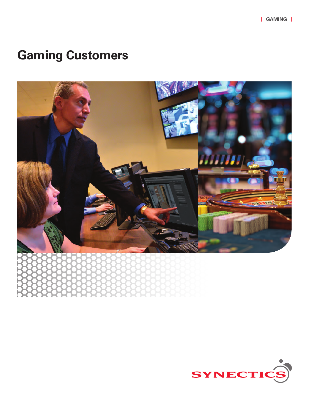# **Gaming Customers**



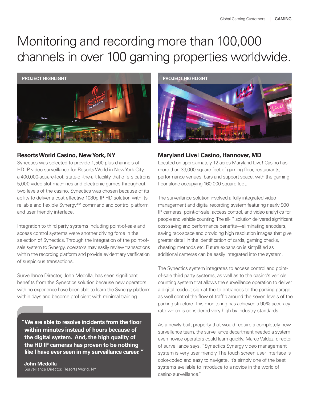# Monitoring and recording more than 100,000 channels in over 100 gaming properties worldwide.



## **Resorts World Casino, New York, NY**

Synectics was selected to provide 1,500 plus channels of HD IP video surveillance for Resorts World in New York City, a 400,000-square-foot, state-of-the-art facility that offers patrons 5,000 video slot machines and electronic games throughout two levels of the casino. Synectics was chosen because of its ability to deliver a cost effective 1080p IP HD solution with its reliable and flexible Synergy™ command and control platform and user friendly interface.

Integration to third party systems including point-of-sale and access control systems were another driving force in the selection of Synectics. Through the integration of the point-ofsale system to Synergy, operators may easily review transactions within the recording platform and provide evidentiary verification of suspicious transactions.

Surveillance Director, John Medolla, has seen significant benefits from the Synectics solution because new operators with no experience have been able to learn the Synergy platform within days and become proficient with minimal training.

**"We are able to resolve incidents from the floor within minutes instead of hours because of the digital system. And, the high quality of the HD IP cameras has proven to be nothing like I have ever seen in my surveillance career. "**

**John Medolla** Surveillance Director, Resorts World, NY



# **Maryland Live! Casino, Hannover, MD**

Located on approximately 12 acres Maryland Live! Casino has more than 33,000 square feet of gaming floor, restaurants, performance venues, bars and support space, with the gaming floor alone occupying 160,000 square feet.

The surveillance solution involved a fully integrated video management and digital recording system featuring nearly 900 IP cameras, point-of-sale, access control, and video analytics for people and vehicle counting. The all-IP solution delivered significant cost-saving and performance benefits—eliminating encoders, saving rack-space and providing high resolution images that give greater detail in the identification of cards, gaming checks, cheating methods etc. Future expansion is simplified as additional cameras can be easily integrated into the system.

The Synectics system integrates to access control and pointof-sale third party systems, as well as to the casino's vehicle counting system that allows the surveillance operation to deliver a digital readout sign at the to entrances to the parking garage, as well control the flow of traffic around the seven levels of the parking structure. This monitoring has achieved a 90% accuracy rate which is considered very high by industry standards.

As a newly built property that would require a completely new surveillance team, the surveillance department needed a system even novice operators could learn quickly. Marco Valdez, director of surveillance says, "Synectics Synergy video management system is very user friendly. The touch screen user interface is color-coded and easy to navigate. It's simply one of the best systems available to introduce to a novice in the world of casino surveillance."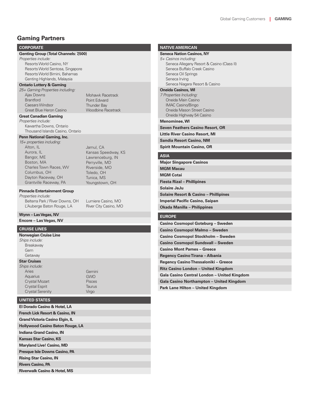### **Gaming Partners**

#### **CORPORATE**

#### **Genting Group (Total Channels: 7,500)**

*Properties include:* Resorts World Casino, NY Resorts World Sentosa, Singapore Resorts World Bimini, Bahamas Genting Highlands, Malaysia

#### **Ontario Lottery & Gaming**

*25+ Gaming Properties including:* Ajax Downs Brantford Caesars Windsor Great Blue Heron Casino

**Great Canadian Gaming**

*Properties include:* Kawartha Downs, Ontario Thousand Islands Casino, Ontario

#### **Penn National Gaming, Inc.**

*15+ properties including:* Alton, IL Aurora, IL Bangor, ME Boston, MA Charles Town Races, WV Columbus, OH Dayton Raceway, OH Grantville Raceway, PA

Jamul, CA Kansas Speedway, KS Lawrenceburg, IN Perryville, MD Riverside, MO Toledo, OH Tunica, MS Youngstown, OH

Mohawk Racetrack Point Edward Thunder Bay Woodbine Racetrack

#### **Pinnacle Entertainment Group**

*Properties include:* 

Belterra Park / River Downs, OH L'Auberge Baton Rouge, LA

Lumiere Casino, MO River City Casino, MO

#### **Wynn – Las Vegas, NV**

**Encore – Las Vegas, NV**

#### **CRUISE LINES**

**Norwegian Cruise Line** *Ships include:* Breakaway Gem Getaway **Star Cruises**

#### **UNITED STATES**

| El Dorado Casino & Hotel, LA               |
|--------------------------------------------|
| <b>French Lick Resort &amp; Casino, IN</b> |
| <b>Grand Victoria Casino Elgin, IL</b>     |
| <b>Hollywood Casino Baton Rouge, LA</b>    |
| <b>Indiana Grand Casino, IN</b>            |
| <b>Kansas Star Casino, KS</b>              |
| <b>Maryland Live! Casino, MD</b>           |
| Presque Isle Downs Casino, PA              |
| <b>Rising Star Casino, IN</b>              |
| <b>Rivers Casino, PA</b>                   |
| <b>Riverwalk Casino &amp; Hotel, MS</b>    |

Gemini GWO Pisces Taurus Virgo

| <b>NATIVE AMERICAN</b> |  |  |
|------------------------|--|--|
|                        |  |  |

### **Seneca Nation Casinos, NY**

| 5+ Casinos including:                      |
|--------------------------------------------|
| Seneca Allegany Resort & Casino (Class II) |
| Seneca Buffalo Creek Casino                |
| Seneca Oil Springs                         |
| Seneca Irving                              |
| Seneca Niagara Resort & Casino             |
| <b>Oneida Casinos, WI</b>                  |
| 7 Properties Including:                    |

Oneida Main Casino IMAC Casino/Bingo Oneida Mason Street Casino Oneida Highway 54 Casino

#### **Menominee, WI**

**Seven Feathers Casino Resort, OR**

**Little River Casino Resort, MI**

**Sandia Resort Casino, NM**

**Spirit Mountain Casino, OR**

#### **ASIA**

**Major Singapore Casinos MGM Macau MGM Cotai Fiesta Rizal – Phillipines Solaire JeJu Solaire Resort & Casino – Phillipines Imperial Pacific Casino, Saipan Okada Manilla – Philippines**

#### **EUROPE**

**Casino Cosmopol Goteburg – Sweden Casino Cosmopol Malmo – Sweden Casino Cosmopol Stockholm – Sweden Casino Cosmopol Sundsvall – Sweden Casino Mont Parnes – Greece Regency Casino Tirana – Albania Regency Casino Thessaloniki – Greece Ritz Casino London – United Kingdom Gala Casino Central London – United Kingdom Gala Casino Northampton – United Kingdom Park Lane Hilton – United Kingdom**